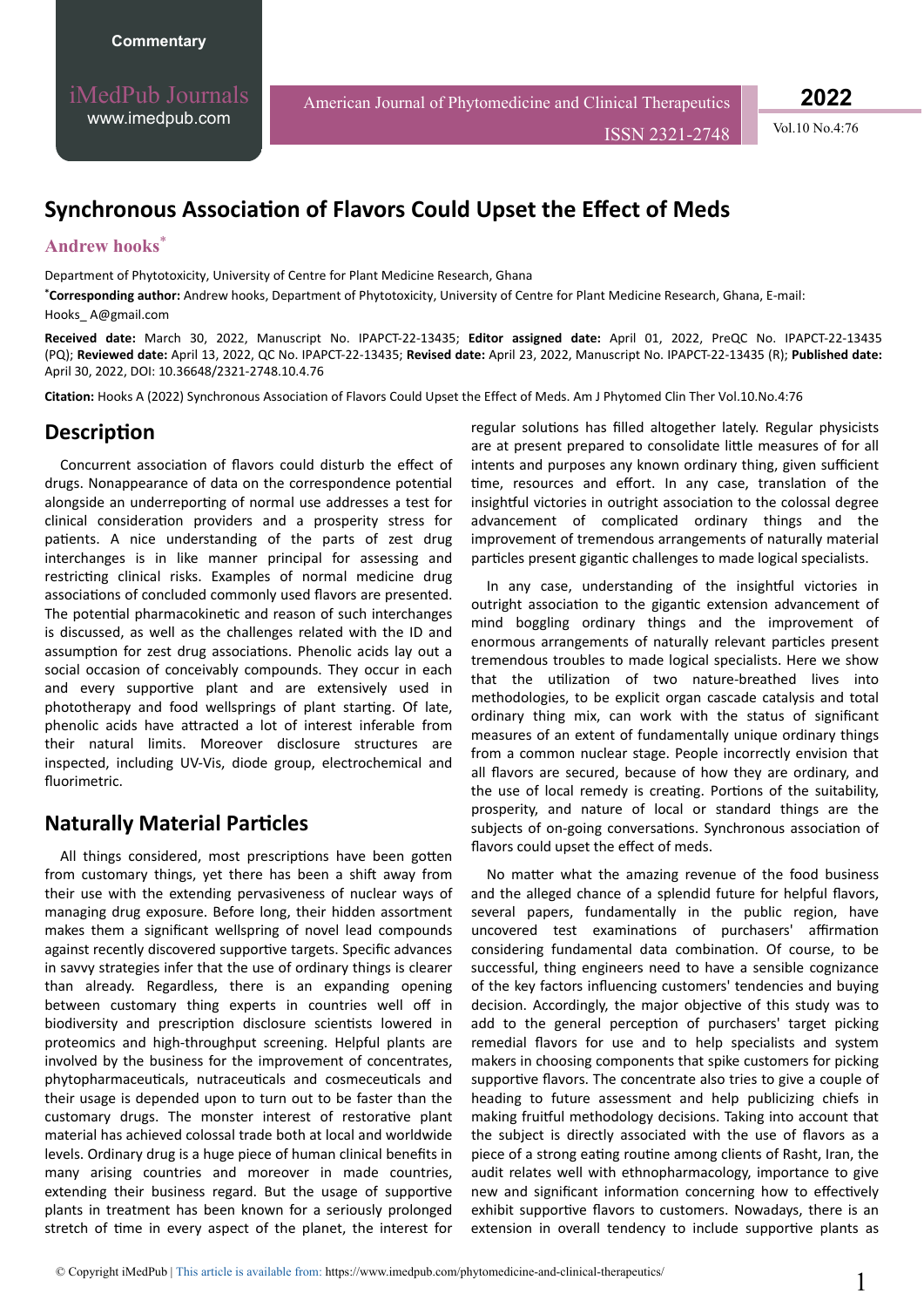iMedPub Journals [www.imedpub.com](http://www.imedpub.com/)

American Journal of Phytomedicine and Clinical Therapeutics

ISSN 2321-2748 Vol.10 No.4:76

**2022**

# **Synchronous Association of Flavors Could Upset the Effect of Meds**

#### **Andrew hooks**\*

Department of Phytotoxicity, University of Centre for Plant Medicine Research, Ghana

**\*Corresponding author:** Andrew hooks, Department of Phytotoxicity, University of Centre for Plant Medicine Research, Ghana, E-mail: [Hooks\\_ A@gmail.com](mailto:Hooks_ A@gmail.com)

**Received date:** March 30, 2022, Manuscript No. IPAPCT-22-13435; **Editor assigned date:** April 01, 2022, PreQC No. IPAPCT-22-13435 (PQ); **Reviewed date:** April 13, 2022, QC No. IPAPCT-22-13435; **Revised date:** April 23, 2022, Manuscript No. IPAPCT-22-13435 (R); **Published date:**  April 30, 2022, DOI: 10.36648/2321-2748.10.4.76

Citation: Hooks A (2022) Synchronous Association of Flavors Could Upset the Effect of Meds. Am J Phytomed Clin Ther Vol.10.No.4:76

#### **Description**

Concurrent association of flavors could disturb the effect of drugs. Nonappearance of data on the correspondence potential alongside an underreporting of normal use addresses a test for clinical consideration providers and a prosperity stress for patients. A nice understanding of the parts of zest drug interchanges is in like manner principal for assessing and restricting clinical risks. Examples of normal medicine drug associations of concluded commonly used flavors are presented. The potential pharmacokinetic and reason of such interchanges is discussed, as well as the challenges related with the ID and assumption for zest drug associations. Phenolic acids lay out a social occasion of conceivably compounds. They occur in each and every supportive plant and are extensively used in phototherapy and food wellsprings of plant starting. Of late, phenolic acids have attracted a lot of interest inferable from their natural limits. Moreover disclosure structures are inspected, including UV-Vis, diode group, electrochemical and fluorimetric.

### **Naturally Material Particles**

All things considered, most prescriptions have been gotten from customary things, yet there has been a shift away from their use with the extending pervasiveness of nuclear ways of managing drug exposure. Before long, their hidden assortment makes them a significant wellspring of novel lead compounds against recently discovered supportive targets. Specific advances in savvy strategies infer that the use of ordinary things is clearer than already. Regardless, there is an expanding opening between customary thing experts in countries well off in biodiversity and prescription disclosure scientists lowered in proteomics and high-throughput screening. Helpful plants are involved by the business for the improvement of concentrates, phytopharmaceuticals, nutraceuticals and cosmeceuticals and their usage is depended upon to turn out to be faster than the customary drugs. The monster interest of restorative plant material has achieved colossal trade both at local and worldwide levels. Ordinary drug is a huge piece of human clinical benefits in many arising countries and moreover in made countries, extending their business regard. But the usage of supportive plants in treatment has been known for a seriously prolonged stretch of time in every aspect of the planet, the interest for

regular solutions has filled altogether lately. Regular physicists are at present prepared to consolidate little measures of for all intents and purposes any known ordinary thing, given sufficient time, resources and effort. In any case, translation of the insightful victories in outright association to the colossal degree advancement of complicated ordinary things and the improvement of tremendous arrangements of naturally material particles present gigantic challenges to made logical specialists.

In any case, understanding of the insightful victories in outright association to the gigantic extension advancement of mind boggling ordinary things and the improvement of enormous arrangements of naturally relevant particles present tremendous troubles to made logical specialists. Here we show that the utilization of two nature-breathed lives into methodologies, to be explicit organ cascade catalysis and total ordinary thing mix, can work with the status of significant measures of an extent of fundamentally unique ordinary things from a common nuclear stage. People incorrectly envision that all flavors are secured, because of how they are ordinary, and the use of local remedy is creating. Portions of the suitability, prosperity, and nature of local or standard things are the subjects of on-going conversations. Synchronous association of flavors could upset the effect of meds.

No matter what the amazing revenue of the food business and the alleged chance of a splendid future for helpful flavors, several papers, fundamentally in the public region, have uncovered test examinations of purchasers' affirmation considering fundamental data combination. Of course, to be successful, thing engineers need to have a sensible cognizance of the key factors influencing customers' tendencies and buying decision. Accordingly, the major objective of this study was to add to the general perception of purchasers' target picking remedial flavors for use and to help specialists and system makers in choosing components that spike customers for picking supportive flavors. The concentrate also tries to give a couple of heading to future assessment and help publicizing chiefs in making fruitful methodology decisions. Taking into account that the subject is directly associated with the use of flavors as a piece of a strong eating routine among clients of Rasht, Iran, the audit relates well with ethnopharmacology, importance to give new and significant information concerning how to effectively exhibit supportive flavors to customers. Nowadays, there is an extension in overall tendency to include supportive plants as